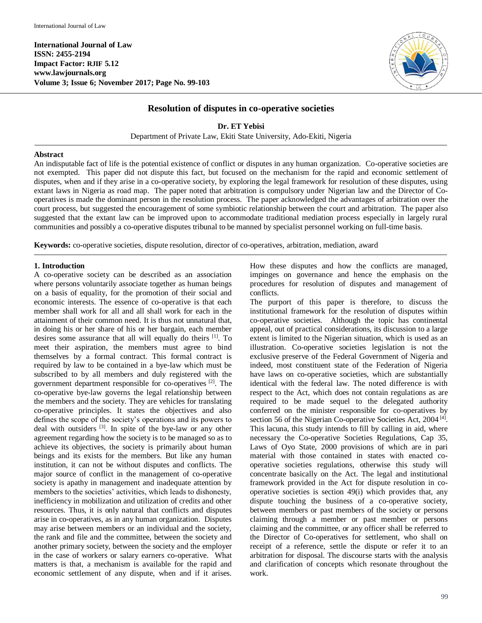**International Journal of Law ISSN: 2455-2194 Impact Factor: RJIF 5.12 www.lawjournals.org Volume 3; Issue 6; November 2017; Page No. 99-103**



## **Resolution of disputes in co-operative societies**

**Dr. ET Yebisi** Department of Private Law, Ekiti State University, Ado-Ekiti, Nigeria

## **Abstract**

An indisputable fact of life is the potential existence of conflict or disputes in any human organization. Co-operative societies are not exempted. This paper did not dispute this fact, but focused on the mechanism for the rapid and economic settlement of disputes, when and if they arise in a co-operative society, by exploring the legal framework for resolution of these disputes, using extant laws in Nigeria as road map. The paper noted that arbitration is compulsory under Nigerian law and the Director of Cooperatives is made the dominant person in the resolution process. The paper acknowledged the advantages of arbitration over the court process, but suggested the encouragement of some symbiotic relationship between the court and arbitration. The paper also suggested that the extant law can be improved upon to accommodate traditional mediation process especially in largely rural communities and possibly a co-operative disputes tribunal to be manned by specialist personnel working on full-time basis.

**Keywords:** co-operative societies, dispute resolution, director of co-operatives, arbitration, mediation, award

#### **1. Introduction**

A co-operative society can be described as an association where persons voluntarily associate together as human beings on a basis of equality, for the promotion of their social and economic interests. The essence of co-operative is that each member shall work for all and all shall work for each in the attainment of their common need. It is thus not unnatural that, in doing his or her share of his or her bargain, each member desires some assurance that all will equally do theirs [1]. To meet their aspiration, the members must agree to bind themselves by a formal contract. This formal contract is required by law to be contained in a bye-law which must be subscribed to by all members and duly registered with the government department responsible for co-operatives [2]. The co-operative bye-law governs the legal relationship between the members and the society. They are vehicles for translating co-operative principles. It states the objectives and also defines the scope of the society's operations and its powers to deal with outsiders <sup>[3]</sup>. In spite of the bye-law or any other agreement regarding how the society is to be managed so as to achieve its objectives, the society is primarily about human beings and its exists for the members. But like any human institution, it can not be without disputes and conflicts. The major source of conflict in the management of co-operative society is apathy in management and inadequate attention by members to the societies' activities, which leads to dishonesty, inefficiency in mobilization and utilization of credits and other resources. Thus, it is only natural that conflicts and disputes arise in co-operatives, as in any human organization. Disputes may arise between members or an individual and the society, the rank and file and the committee, between the society and another primary society, between the society and the employer in the case of workers or salary earners co-operative. What matters is that, a mechanism is available for the rapid and economic settlement of any dispute, when and if it arises.

How these disputes and how the conflicts are managed, impinges on governance and hence the emphasis on the procedures for resolution of disputes and management of conflicts.

The purport of this paper is therefore, to discuss the institutional framework for the resolution of disputes within co-operative societies. Although the topic has continental appeal, out of practical considerations, its discussion to a large extent is limited to the Nigerian situation, which is used as an illustration. Co-operative societies legislation is not the exclusive preserve of the Federal Government of Nigeria and indeed, most constituent state of the Federation of Nigeria have laws on co-operative societies, which are substantially identical with the federal law. The noted difference is with respect to the Act, which does not contain regulations as are required to be made sequel to the delegated authority conferred on the minister responsible for co-operatives by section 56 of the Nigerian Co-operative Societies Act, 2004<sup>[4]</sup>. This lacuna, this study intends to fill by calling in aid, where necessary the Co-operative Societies Regulations, Cap 35, Laws of Oyo State, 2000 provisions of which are in pari material with those contained in states with enacted cooperative societies regulations, otherwise this study will concentrate basically on the Act. The legal and institutional framework provided in the Act for dispute resolution in cooperative societies is section 49(i) which provides that, any dispute touching the business of a co-operative society, between members or past members of the society or persons claiming through a member or past member or persons claiming and the committee, or any officer shall be referred to the Director of Co-operatives for settlement, who shall on receipt of a reference, settle the dispute or refer it to an arbitration for disposal. The discourse starts with the analysis and clarification of concepts which resonate throughout the work.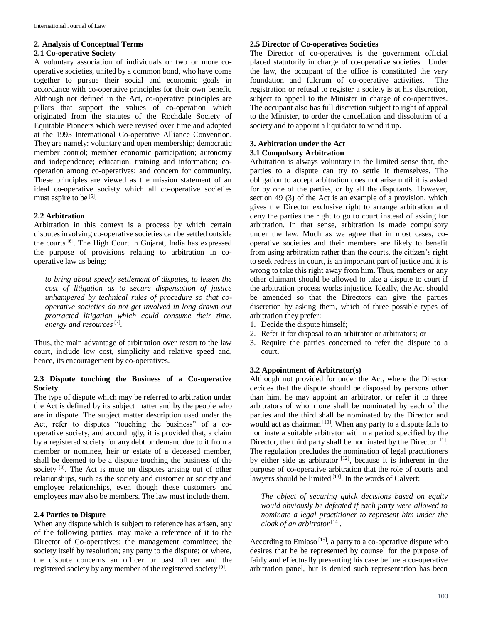### **2. Analysis of Conceptual Terms**

#### **2.1 Co-operative Society**

A voluntary association of individuals or two or more cooperative societies, united by a common bond, who have come together to pursue their social and economic goals in accordance with co-operative principles for their own benefit. Although not defined in the Act, co-operative principles are pillars that support the values of co-operation which originated from the statutes of the Rochdale Society of Equitable Pioneers which were revised over time and adopted at the 1995 International Co-operative Alliance Convention. They are namely: voluntary and open membership; democratic member control; member economic participation; autonomy and independence; education, training and information; cooperation among co-operatives; and concern for community. These principles are viewed as the mission statement of an ideal co-operative society which all co-operative societies must aspire to be <sup>[5]</sup>.

## **2.2 Arbitration**

Arbitration in this context is a process by which certain disputes involving co-operative societies can be settled outside the courts<sup>[6]</sup>. The High Court in Gujarat, India has expressed the purpose of provisions relating to arbitration in cooperative law as being:

*to bring about speedy settlement of disputes, to lessen the cost of litigation as to secure dispensation of justice unhampered by technical rules of procedure so that cooperative societies do not get involved in long drawn out protracted litigation which could consume their time,*  energy and resources<sup>[7]</sup>.

Thus, the main advantage of arbitration over resort to the law court, include low cost, simplicity and relative speed and, hence, its encouragement by co-operatives.

## **2.3 Dispute touching the Business of a Co-operative Society**

The type of dispute which may be referred to arbitration under the Act is defined by its subject matter and by the people who are in dispute. The subject matter description used under the Act, refer to disputes "touching the business" of a cooperative society, and accordingly, it is provided that, a claim by a registered society for any debt or demand due to it from a member or nominee, heir or estate of a deceased member, shall be deemed to be a dispute touching the business of the society  $[8]$ . The Act is mute on disputes arising out of other relationships, such as the society and customer or society and employee relationships, even though these customers and employees may also be members. The law must include them.

#### **2.4 Parties to Dispute**

When any dispute which is subject to reference has arisen, any of the following parties, may make a reference of it to the Director of Co-operatives: the management committee; the society itself by resolution; any party to the dispute; or where, the dispute concerns an officer or past officer and the registered society by any member of the registered society<sup>[9]</sup>.

#### **2.5 Director of Co-operatives Societies**

The Director of co-operatives is the government official placed statutorily in charge of co-operative societies. Under the law, the occupant of the office is constituted the very foundation and fulcrum of co-operative activities. The registration or refusal to register a society is at his discretion, subject to appeal to the Minister in charge of co-operatives. The occupant also has full discretion subject to right of appeal to the Minister, to order the cancellation and dissolution of a society and to appoint a liquidator to wind it up.

# **3. Arbitration under the Act**

#### **3.1 Compulsory Arbitration**

Arbitration is always voluntary in the limited sense that, the parties to a dispute can try to settle it themselves. The obligation to accept arbitration does not arise until it is asked for by one of the parties, or by all the disputants. However, section 49 (3) of the Act is an example of a provision, which gives the Director exclusive right to arrange arbitration and deny the parties the right to go to court instead of asking for arbitration. In that sense, arbitration is made compulsory under the law. Much as we agree that in most cases, cooperative societies and their members are likely to benefit from using arbitration rather than the courts, the citizen's right to seek redress in court, is an important part of justice and it is wrong to take this right away from him. Thus, members or any other claimant should be allowed to take a dispute to court if the arbitration process works injustice. Ideally, the Act should be amended so that the Directors can give the parties discretion by asking them, which of three possible types of arbitration they prefer:

- 1. Decide the dispute himself;
- 2. Refer it for disposal to an arbitrator or arbitrators; or
- 3. Require the parties concerned to refer the dispute to a court.

#### **3.2 Appointment of Arbitrator(s)**

Although not provided for under the Act, where the Director decides that the dispute should be disposed by persons other than him, he may appoint an arbitrator, or refer it to three arbitrators of whom one shall be nominated by each of the parties and the third shall be nominated by the Director and would act as chairman<sup>[10]</sup>. When any party to a dispute fails to nominate a suitable arbitrator within a period specified by the Director, the third party shall be nominated by the Director<sup>[11]</sup>. The regulation precludes the nomination of legal practitioners by either side as arbitrator  $[12]$ , because it is inherent in the purpose of co-operative arbitration that the role of courts and lawyers should be limited [13]. In the words of Calvert:

*The object of securing quick decisions based on equity would obviously be defeated if each party were allowed to nominate a legal practitioner to represent him under the cloak of an arbitrator*[14] .

According to Emiaso<sup>[15]</sup>, a party to a co-operative dispute who desires that he be represented by counsel for the purpose of fairly and effectually presenting his case before a co-operative arbitration panel, but is denied such representation has been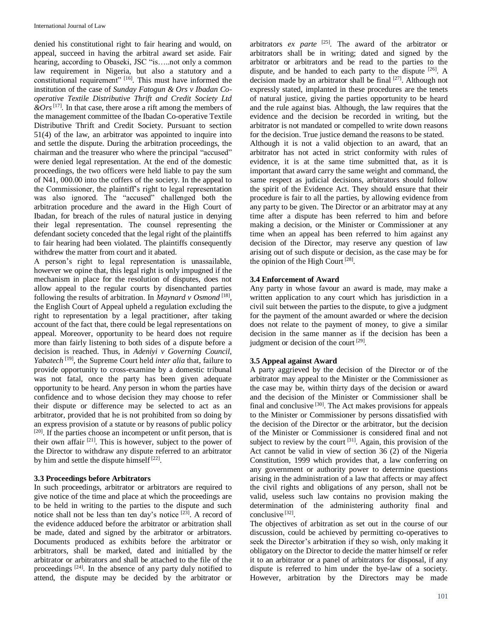denied his constitutional right to fair hearing and would, on appeal, succeed in having the arbitral award set aside. Fair hearing, according to Obaseki, JSC "is.....not only a common law requirement in Nigeria, but also a statutory and a constitutional requirement" <sup>[16]</sup>. This must have informed the institution of the case of *Sunday Fatogun & Ors v Ibadan Cooperative Textile Distributive Thrift and Credit Society Ltd &Ors*[17] *.* In that case, there arose a rift among the members of the management committee of the Ibadan Co-operative Textile Distributive Thrift and Credit Society. Pursuant to section 51(4) of the law, an arbitrator was appointed to inquire into and settle the dispute. During the arbitration proceedings, the chairman and the treasurer who where the principal "accused" were denied legal representation. At the end of the domestic proceedings, the two officers were held liable to pay the sum of N41, 000.00 into the coffers of the society. In the appeal to the Commissioner, the plaintiff's right to legal representation was also ignored. The "accused" challenged both the arbitration procedure and the award in the High Court of Ibadan, for breach of the rules of natural justice in denying their legal representation. The counsel representing the defendant society conceded that the legal right of the plaintiffs to fair hearing had been violated. The plaintiffs consequently withdrew the matter from court and it abated.

A person's right to legal representation is unassailable, however we opine that, this legal right is only impugned if the mechanism in place for the resolution of disputes, does not allow appeal to the regular courts by disenchanted parties following the results of arbitration. In *Maynard v Osmond*<sup>[18]</sup>, the English Court of Appeal upheld a regulation excluding the right to representation by a legal practitioner, after taking account of the fact that, there could be legal representations on appeal. Moreover, opportunity to be heard does not require more than fairly listening to both sides of a dispute before a decision is reached. Thus, in *Adeniyi v Governing Council, Yabatech*<sup>[19]</sup>, the Supreme Court held *inter alia* that, failure to provide opportunity to cross-examine by a domestic tribunal was not fatal, once the party has been given adequate opportunity to be heard. Any person in whom the parties have confidence and to whose decision they may choose to refer their dispute or difference may be selected to act as an arbitrator, provided that he is not prohibited from so doing by an express provision of a statute or by reasons of public policy  $[20]$ . If the parties choose an incompetent or unfit person, that is their own affair  $[21]$ . This is however, subject to the power of the Director to withdraw any dispute referred to an arbitrator by him and settle the dispute himself<sup>[22]</sup>.

#### **3.3 Proceedings before Arbitrators**

In such proceedings, arbitrator or arbitrators are required to give notice of the time and place at which the proceedings are to be held in writing to the parties to the dispute and such notice shall not be less than ten day's notice [23]. A record of the evidence adduced before the arbitrator or arbitration shall be made, dated and signed by the arbitrator or arbitrators. Documents produced as exhibits before the arbitrator or arbitrators, shall be marked, dated and initialled by the arbitrator or arbitrators and shall be attached to the file of the proceedings<sup>[24]</sup>. In the absence of any party duly notified to attend, the dispute may be decided by the arbitrator or

arbitrators *ex parte* [25] *.* The award of the arbitrator or arbitrators shall be in writing; dated and signed by the arbitrator or arbitrators and be read to the parties to the dispute, and be handed to each party to the dispute  $[26]$ . A decision made by an arbitrator shall be final <sup>[27]</sup>. Although not expressly stated, implanted in these procedures are the tenets of natural justice, giving the parties opportunity to be heard and the rule against bias. Although, the law requires that the evidence and the decision be recorded in writing, but the arbitrator is not mandated or compelled to write down reasons for the decision. True justice demand the reasons to be stated.

Although it is not a valid objection to an award, that an arbitrator has not acted in strict conformity with rules of evidence, it is at the same time submitted that, as it is important that award carry the same weight and command, the same respect as judicial decisions, arbitrators should follow the spirit of the Evidence Act. They should ensure that their procedure is fair to all the parties, by allowing evidence from any party to be given. The Director or an arbitrator may at any time after a dispute has been referred to him and before making a decision, or the Minister or Commissioner at any time when an appeal has been referred to him against any decision of the Director, may reserve any question of law arising out of such dispute or decision, as the case may be for the opinion of the High Court  $^{[28]}$ .

#### **3.4 Enforcement of Award**

Any party in whose favour an award is made, may make a written application to any court which has jurisdiction in a civil suit between the parties to the dispute, to give a judgment for the payment of the amount awarded or where the decision does not relate to the payment of money, to give a similar decision in the same manner as if the decision has been a judgment or decision of the court [29].

#### **3.5 Appeal against Award**

A party aggrieved by the decision of the Director or of the arbitrator may appeal to the Minister or the Commissioner as the case may be, within thirty days of the decision or award and the decision of the Minister or Commissioner shall be final and conclusive<sup>[30]</sup>. The Act makes provisions for appeals to the Minister or Commissioner by persons dissatisfied with the decision of the Director or the arbitrator, but the decision of the Minister or Commissioner is considered final and not subject to review by the court  $[31]$ . Again, this provision of the Act cannot be valid in view of section 36 (2) of the Nigeria Constitution, 1999 which provides that, a law conferring on any government or authority power to determine questions arising in the administration of a law that affects or may affect the civil rights and obligations of any person, shall not be valid, useless such law contains no provision making the determination of the administering authority final and conclusive<sup>[32]</sup>.

The objectives of arbitration as set out in the course of our discussion, could be achieved by permitting co-operatives to seek the Director's arbitration if they so wish, only making it obligatory on the Director to decide the matter himself or refer it to an arbitrator or a panel of arbitrators for disposal, if any dispute is referred to him under the bye-law of a society. However, arbitration by the Directors may be made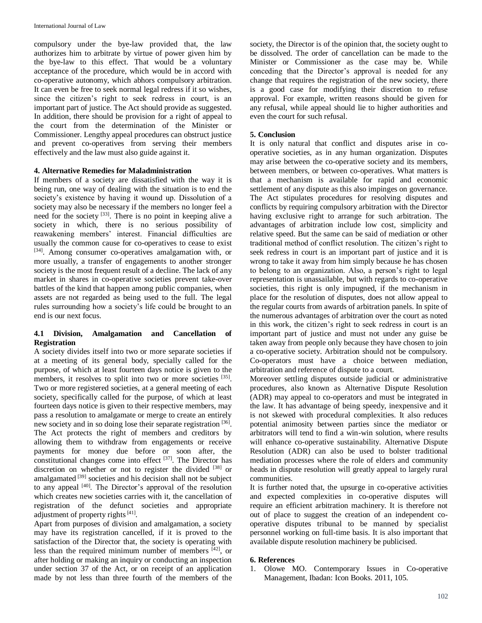compulsory under the bye-law provided that, the law authorizes him to arbitrate by virtue of power given him by the bye-law to this effect. That would be a voluntary acceptance of the procedure, which would be in accord with co-operative autonomy, which abhors compulsory arbitration. It can even be free to seek normal legal redress if it so wishes, since the citizen's right to seek redress in court, is an important part of justice. The Act should provide as suggested. In addition, there should be provision for a right of appeal to the court from the determination of the Minister or Commissioner. Lengthy appeal procedures can obstruct justice and prevent co-operatives from serving their members effectively and the law must also guide against it.

## **4. Alternative Remedies for Maladministration**

If members of a society are dissatisfied with the way it is being run, one way of dealing with the situation is to end the society's existence by having it wound up. Dissolution of a society may also be necessary if the members no longer feel a need for the society <sup>[33]</sup>. There is no point in keeping alive a society in which, there is no serious possibility of reawakening members' interest. Financial difficulties are usually the common cause for co-operatives to cease to exist [34]. Among consumer co-operatives amalgamation with, or more usually, a transfer of engagements to another stronger society is the most frequent result of a decline. The lack of any market in shares in co-operative societies prevent take-over battles of the kind that happen among public companies, when assets are not regarded as being used to the full. The legal rules surrounding how a society's life could be brought to an end is our next focus.

## **4.1 Division, Amalgamation and Cancellation of Registration**

A society divides itself into two or more separate societies if at a meeting of its general body, specially called for the purpose, of which at least fourteen days notice is given to the members, it resolves to split into two or more societies [35]. Two or more registered societies, at a general meeting of each society, specifically called for the purpose, of which at least fourteen days notice is given to their respective members, may pass a resolution to amalgamate or merge to create an entirely new society and in so doing lose their separate registration [36]. The Act protects the right of members and creditors by allowing them to withdraw from engagements or receive payments for money due before or soon after, the constitutional changes come into effect [37] . The Director has discretion on whether or not to register the divided  $^{[38]}$  or amalgamated <sup>[39]</sup> societies and his decision shall not be subject to any appeal <sup>[40]</sup>. The Director's approval of the resolution which creates new societies carries with it, the cancellation of registration of the defunct societies and appropriate adjustment of property rights<sup>[41]</sup>.

Apart from purposes of division and amalgamation, a society may have its registration cancelled, if it is proved to the satisfaction of the Director that, the society is operating with less than the required minimum number of members [42], or after holding or making an inquiry or conducting an inspection under section 37 of the Act, or on receipt of an application made by not less than three fourth of the members of the

society, the Director is of the opinion that, the society ought to be dissolved. The order of cancellation can be made to the Minister or Commissioner as the case may be. While conceding that the Director's approval is needed for any change that requires the registration of the new society, there is a good case for modifying their discretion to refuse approval. For example, written reasons should be given for any refusal, while appeal should lie to higher authorities and even the court for such refusal.

## **5. Conclusion**

It is only natural that conflict and disputes arise in cooperative societies, as in any human organization. Disputes may arise between the co-operative society and its members, between members, or between co-operatives. What matters is that a mechanism is available for rapid and economic settlement of any dispute as this also impinges on governance. The Act stipulates procedures for resolving disputes and conflicts by requiring compulsory arbitration with the Director having exclusive right to arrange for such arbitration. The advantages of arbitration include low cost, simplicity and relative speed. But the same can be said of mediation or other traditional method of conflict resolution. The citizen's right to seek redress in court is an important part of justice and it is wrong to take it away from him simply because he has chosen to belong to an organization. Also, a person's right to legal representation is unassailable, but with regards to co-operative societies, this right is only impugned, if the mechanism in place for the resolution of disputes, does not allow appeal to the regular courts from awards of arbitration panels. In spite of the numerous advantages of arbitration over the court as noted in this work, the citizen's right to seek redress in court is an important part of justice and must not under any guise be taken away from people only because they have chosen to join a co-operative society. Arbitration should not be compulsory. Co-operators must have a choice between mediation, arbitration and reference of dispute to a court.

Moreover settling disputes outside judicial or administrative procedures, also known as Alternative Dispute Resolution (ADR) may appeal to co-operators and must be integrated in the law. It has advantage of being speedy, inexpensive and it is not skewed with procedural complexities. It also reduces potential animosity between parties since the mediator or arbitrators will tend to find a win-win solution, where results will enhance co-operative sustainability. Alternative Dispute Resolution (ADR) can also be used to bolster traditional mediation processes where the role of elders and community heads in dispute resolution will greatly appeal to largely rural communities.

It is further noted that, the upsurge in co-operative activities and expected complexities in co-operative disputes will require an efficient arbitration machinery. It is therefore not out of place to suggest the creation of an independent cooperative disputes tribunal to be manned by specialist personnel working on full-time basis. It is also important that available dispute resolution machinery be publicised.

#### **6. References**

1. Olowe MO. Contemporary Issues in Co-operative Management, Ibadan: Icon Books. 2011, 105.